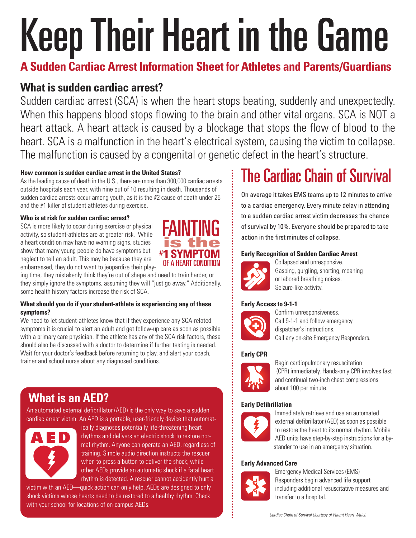# KeepTheir Heart in the Game

**A Sudden Cardiac Arrest Information Sheet for Athletes and Parents/Guardians**

## **What is sudden cardiac arrest?**

Sudden cardiac arrest (SCA) is when the heart stops beating, suddenly and unexpectedly. When this happens blood stops flowing to the brain and other vital organs. SCA is NOT a heart attack. A heart attack is caused by a blockage that stops the flow of blood to the heart. SCA is a malfunction in the heart's electrical system, causing the victim to collapse. The malfunction is caused by a congenital or genetic defect in the heart's structure.

#### **How common is sudden cardiac arrest in the United States?**

Asthe leading cause of death in the U.S., there are more than 300,000 cardiac arrests outside hospitals each year, with nine out of 10 resulting in death. Thousands of sudden cardiac arrests occur among youth, as it is the #2 cause of death under 25 and the #1 killer of student athletes during exercise.

#### **Who is at risk for sudden cardiac arrest?**

SCA is more likely to occur during exercise or physical activity, so student-athletes are at greater risk. While a heart condition may have no warning signs, studies show that many young people do have symptoms but neglect to tell an adult. This may be because they are embarrassed, they do not want to jeopardize their play-



ing time, they mistakenly think they're out of shape and need to train harder, or they simply ignore the symptoms, assuming they will "just go away." Additionally, some health history factors increase the risk of SCA.

#### **What should you do if your student-athlete is experiencing any of these symptoms?**

We need to let student-athletes know that if they experience any SCA-related symptoms it is crucial to alert an adult and get follow-up care as soon as possible with a primary care physician. If the athlete has any of the SCA risk factors, these should also be discussed with a doctor to determine if further testing is needed. Wait for your doctor's feedback before returning to play, and alert your coach, trainer and school nurse about any diagnosed conditions.

## **What is an AED?**

An automated external defibrillator (AED) is the only way to save a sudden cardiac arrest victim. An AED is a portable, user-friendly device that automat-



ically diagnoses potentially life-threatening heart rhythms and delivers an electric shock to restore normal rhythm. Anyone can operate an AED, regardless of training. Simple audio direction instructs the rescuer when to press a button to deliver the shock, while other AEDs provide an automatic shock if a fatal heart rhythm is detected. A rescuer cannot accidently hurt a

victim with an AED—quick action can only help. AEDs are designed to only shock victims whose hearts need to be restored to a healthy rhythm. Check with your school for locations of on-campus AEDs.

# **The Cardiac Chain of Survival**

On average it takes EMS teams up to 12 minutes to arrive to a cardiac emergency. Every minute delay in attending to a sudden cardiac arrest victim decreases the chance of survival by 10%. Everyone should be prepared to take action in the first minutes of collapse.

#### **Early Recognition of Sudden Cardiac Arrest**



Collapsed and unresponsive. Gasping, gurgling, snorting, moaning or labored breathing noises. Seizure-like activity.

#### **Early Access to 9-1-1**



Confirm unresponsiveness. Call 9-1-1 and follow emergency dispatcher's instructions. Call any on-site Emergency Responders.

#### **Early CPR**



Begin cardiopulmonary resuscitation (CPR) immediately. Hands-only CPR involves fast and continual two-inch chest compressions about 100 per minute.

#### **Early Defibrillation**



Immediately retrieve and use an automated external defibrillator (AED) as soon as possible to restore the heart to its normal rhythm. Mobile AED units have step-by-step instructions for a bystander to use in an emergency situation.

#### **Early Advanced Care**



Emergency Medical Services (EMS) Responders begin advanced life support including additional resuscitative measures and transfer to a hospital.